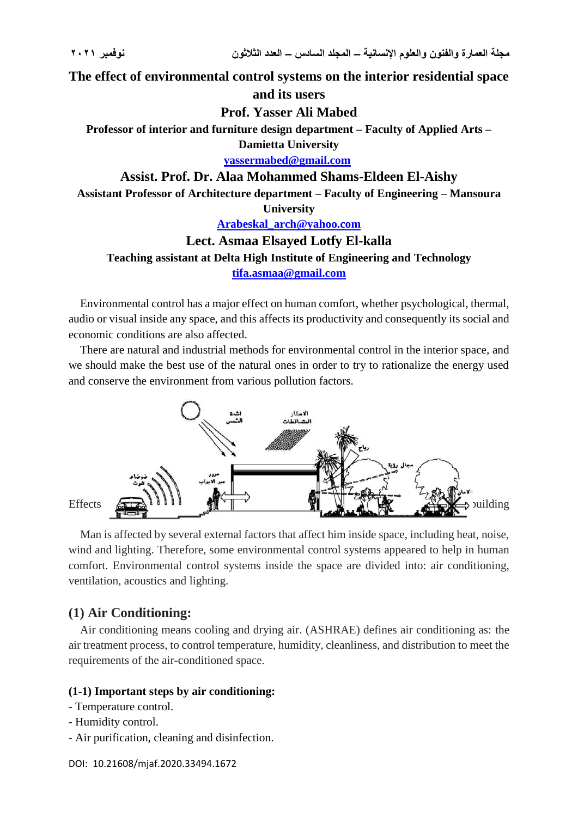**The effect of environmental control systems on the interior residential space** 

# **and its users**

# **Prof. Yasser Ali Mabed**

**Professor of interior and furniture design department – Faculty of Applied Arts –**

**Damietta University**

**[yassermabed@gmail.com](mailto:yassermabed@gmail.com)**

## **Assist. Prof. Dr. Alaa Mohammed Shams-Eldeen El-Aishy**

**Assistant Professor of Architecture department – Faculty of Engineering – Mansoura**

**University**

**[Arabeskal\\_arch@yahoo.com](mailto:Arabeskal_arch@yahoo.com)**

# **Lect. Asmaa Elsayed Lotfy El-kalla**

# **Teaching assistant at Delta High Institute of Engineering and Technology [tifa.asmaa@gmail.com](mailto:tifa.asmaa@gmail.com)**

Environmental control has a major effect on human comfort, whether psychological, thermal, audio or visual inside any space, and this affects its productivity and consequently its social and economic conditions are also affected.

There are natural and industrial methods for environmental control in the interior space, and we should make the best use of the natural ones in order to try to rationalize the energy used and conserve the environment from various pollution factors.



Man is affected by several external factors that affect him inside space, including heat, noise, wind and lighting. Therefore, some environmental control systems appeared to help in human comfort. Environmental control systems inside the space are divided into: air conditioning, ventilation, acoustics and lighting.

# **(1) Air Conditioning:**

Air conditioning means cooling and drying air. (ASHRAE) defines air conditioning as: the air treatment process, to control temperature, humidity, cleanliness, and distribution to meet the requirements of the air-conditioned space.

# **(1-1) Important steps by air conditioning:**

- Temperature control.
- Humidity control.
- Air purification, cleaning and disinfection.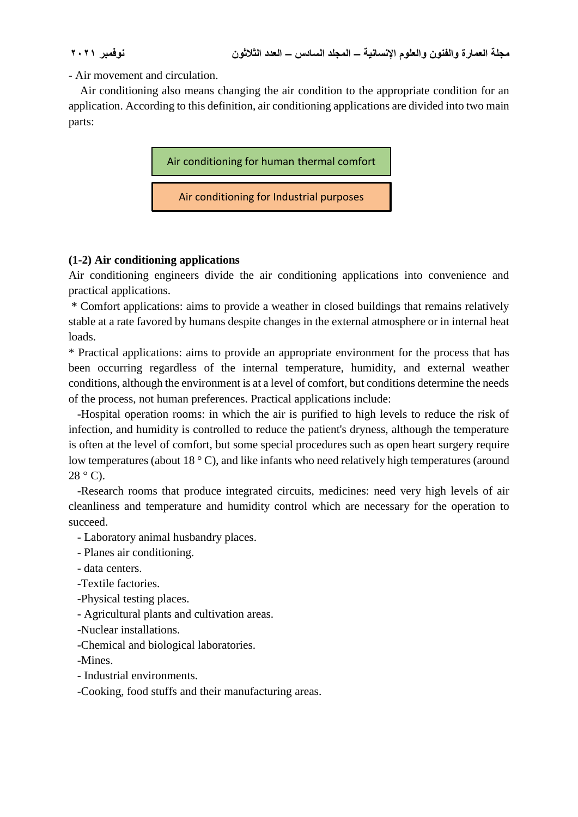- Air movement and circulation.

 Air conditioning also means changing the air condition to the appropriate condition for an application. According to this definition, air conditioning applications are divided into two main parts:



## **(1-2) Air conditioning applications**

Air conditioning engineers divide the air conditioning applications into convenience and practical applications.

\* Comfort applications: aims to provide a weather in closed buildings that remains relatively stable at a rate favored by humans despite changes in the external atmosphere or in internal heat loads.

\* Practical applications: aims to provide an appropriate environment for the process that has been occurring regardless of the internal temperature, humidity, and external weather conditions, although the environment is at a level of comfort, but conditions determine the needs of the process, not human preferences. Practical applications include:

 -Hospital operation rooms: in which the air is purified to high levels to reduce the risk of infection, and humidity is controlled to reduce the patient's dryness, although the temperature is often at the level of comfort, but some special procedures such as open heart surgery require low temperatures (about 18 °C), and like infants who need relatively high temperatures (around  $28^\circ$  C).

 -Research rooms that produce integrated circuits, medicines: need very high levels of air cleanliness and temperature and humidity control which are necessary for the operation to succeed.

- Laboratory animal husbandry places.

- Planes air conditioning.

- data centers.

-Textile factories.

-Physical testing places.

- Agricultural plants and cultivation areas.

-Nuclear installations.

-Chemical and biological laboratories.

-Mines.

- Industrial environments.

-Cooking, food stuffs and their manufacturing areas.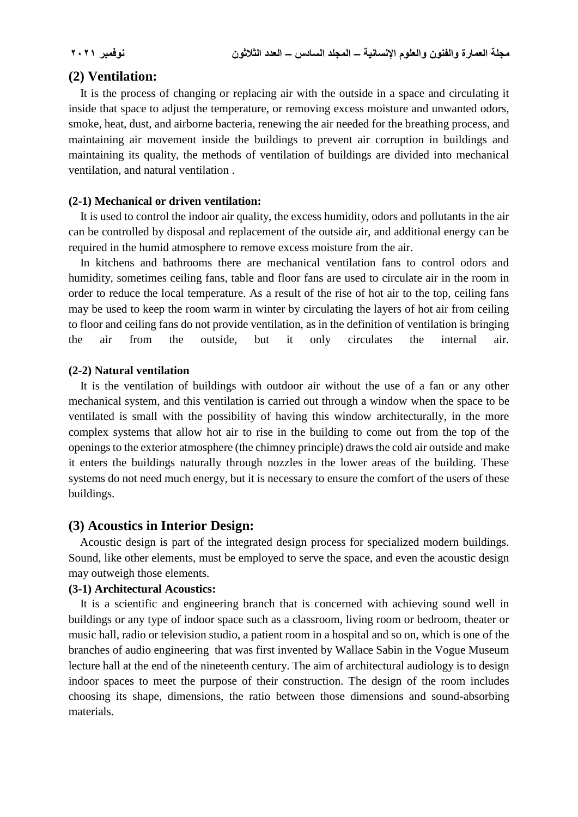## **(2) Ventilation:**

 It is the process of changing or replacing air with the outside in a space and circulating it inside that space to adjust the temperature, or removing excess moisture and unwanted odors, smoke, heat, dust, and airborne bacteria, renewing the air needed for the breathing process, and maintaining air movement inside the buildings to prevent air corruption in buildings and maintaining its quality, the methods of ventilation of buildings are divided into mechanical ventilation, and natural ventilation .

### **(2-1) Mechanical or driven ventilation:**

 It is used to control the indoor air quality, the excess humidity, odors and pollutants in the air can be controlled by disposal and replacement of the outside air, and additional energy can be required in the humid atmosphere to remove excess moisture from the air.

 In kitchens and bathrooms there are mechanical ventilation fans to control odors and humidity, sometimes ceiling fans, table and floor fans are used to circulate air in the room in order to reduce the local temperature. As a result of the rise of hot air to the top, ceiling fans may be used to keep the room warm in winter by circulating the layers of hot air from ceiling to floor and ceiling fans do not provide ventilation, as in the definition of ventilation is bringing the air from the outside, but it only circulates the internal air.

### **(2-2) Natural ventilation**

 It is the ventilation of buildings with outdoor air without the use of a fan or any other mechanical system, and this ventilation is carried out through a window when the space to be ventilated is small with the possibility of having this window architecturally, in the more complex systems that allow hot air to rise in the building to come out from the top of the openings to the exterior atmosphere (the chimney principle) draws the cold air outside and make it enters the buildings naturally through nozzles in the lower areas of the building. These systems do not need much energy, but it is necessary to ensure the comfort of the users of these buildings.

## **(3) Acoustics in Interior Design:**

 Acoustic design is part of the integrated design process for specialized modern buildings. Sound, like other elements, must be employed to serve the space, and even the acoustic design may outweigh those elements.

### **(3-1) Architectural Acoustics:**

 It is a scientific and engineering branch that is concerned with achieving sound well in buildings or any type of indoor space such as a classroom, living room or bedroom, theater or music hall, radio or television studio, a patient room in a hospital and so on, which is one of the branches of audio engineering that was first invented by Wallace Sabin in the Vogue Museum lecture hall at the end of the nineteenth century. The aim of architectural audiology is to design indoor spaces to meet the purpose of their construction. The design of the room includes choosing its shape, dimensions, the ratio between those dimensions and sound-absorbing materials.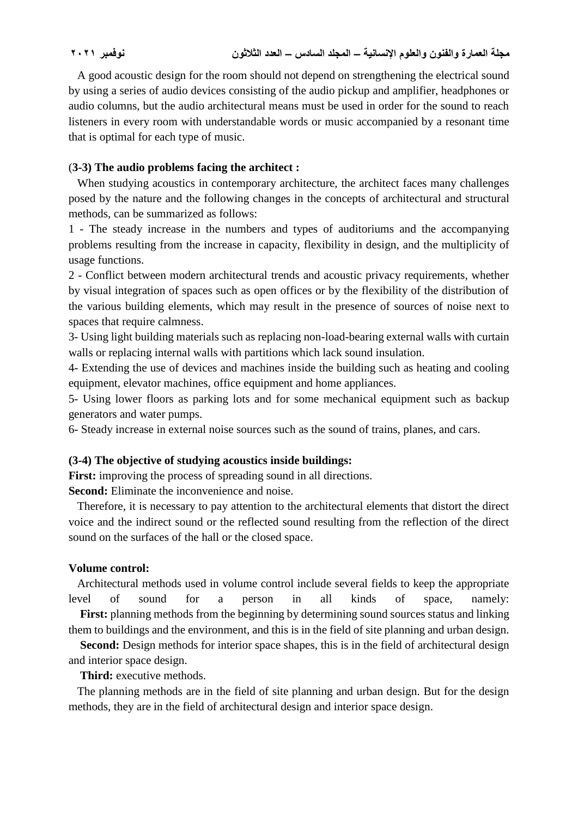A good acoustic design for the room should not depend on strengthening the electrical sound by using a series of audio devices consisting of the audio pickup and amplifier, headphones or audio columns, but the audio architectural means must be used in order for the sound to reach listeners in every room with understandable words or music accompanied by a resonant time that is optimal for each type of music.

## (**3-3) The audio problems facing the architect :**

 When studying acoustics in contemporary architecture, the architect faces many challenges posed by the nature and the following changes in the concepts of architectural and structural methods, can be summarized as follows:

1 - The steady increase in the numbers and types of auditoriums and the accompanying problems resulting from the increase in capacity, flexibility in design, and the multiplicity of usage functions.

2 - Conflict between modern architectural trends and acoustic privacy requirements, whether by visual integration of spaces such as open offices or by the flexibility of the distribution of the various building elements, which may result in the presence of sources of noise next to spaces that require calmness.

3- Using light building materials such as replacing non-load-bearing external walls with curtain walls or replacing internal walls with partitions which lack sound insulation.

4- Extending the use of devices and machines inside the building such as heating and cooling equipment, elevator machines, office equipment and home appliances.

5- Using lower floors as parking lots and for some mechanical equipment such as backup generators and water pumps.

6- Steady increase in external noise sources such as the sound of trains, planes, and cars.

# **(3-4) The objective of studying acoustics inside buildings:**

**First:** improving the process of spreading sound in all directions.

**Second:** Eliminate the inconvenience and noise.

 Therefore, it is necessary to pay attention to the architectural elements that distort the direct voice and the indirect sound or the reflected sound resulting from the reflection of the direct sound on the surfaces of the hall or the closed space.

## **Volume control:**

 Architectural methods used in volume control include several fields to keep the appropriate level of sound for a person in all kinds of space, namely: **First:** planning methods from the beginning by determining sound sources status and linking

them to buildings and the environment, and this is in the field of site planning and urban design.

 **Second:** Design methods for interior space shapes, this is in the field of architectural design and interior space design.

 **Third:** executive methods.

 The planning methods are in the field of site planning and urban design. But for the design methods, they are in the field of architectural design and interior space design.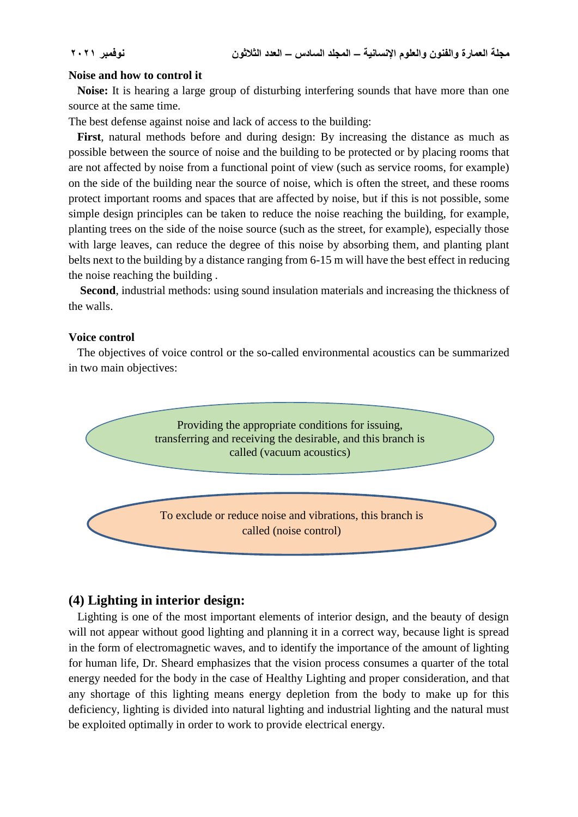### **Noise and how to control it**

 **Noise:** It is hearing a large group of disturbing interfering sounds that have more than one source at the same time.

The best defense against noise and lack of access to the building:

 **First**, natural methods before and during design: By increasing the distance as much as possible between the source of noise and the building to be protected or by placing rooms that are not affected by noise from a functional point of view (such as service rooms, for example) on the side of the building near the source of noise, which is often the street, and these rooms protect important rooms and spaces that are affected by noise, but if this is not possible, some simple design principles can be taken to reduce the noise reaching the building, for example, planting trees on the side of the noise source (such as the street, for example), especially those with large leaves, can reduce the degree of this noise by absorbing them, and planting plant belts next to the building by a distance ranging from 6-15 m will have the best effect in reducing the noise reaching the building .

 **Second**, industrial methods: using sound insulation materials and increasing the thickness of the walls.

### **Voice control**

 The objectives of voice control or the so-called environmental acoustics can be summarized in two main objectives:



## **(4) Lighting in interior design:**

 Lighting is one of the most important elements of interior design, and the beauty of design will not appear without good lighting and planning it in a correct way, because light is spread in the form of electromagnetic waves, and to identify the importance of the amount of lighting for human life, Dr. Sheard emphasizes that the vision process consumes a quarter of the total energy needed for the body in the case of Healthy Lighting and proper consideration, and that any shortage of this lighting means energy depletion from the body to make up for this deficiency, lighting is divided into natural lighting and industrial lighting and the natural must be exploited optimally in order to work to provide electrical energy.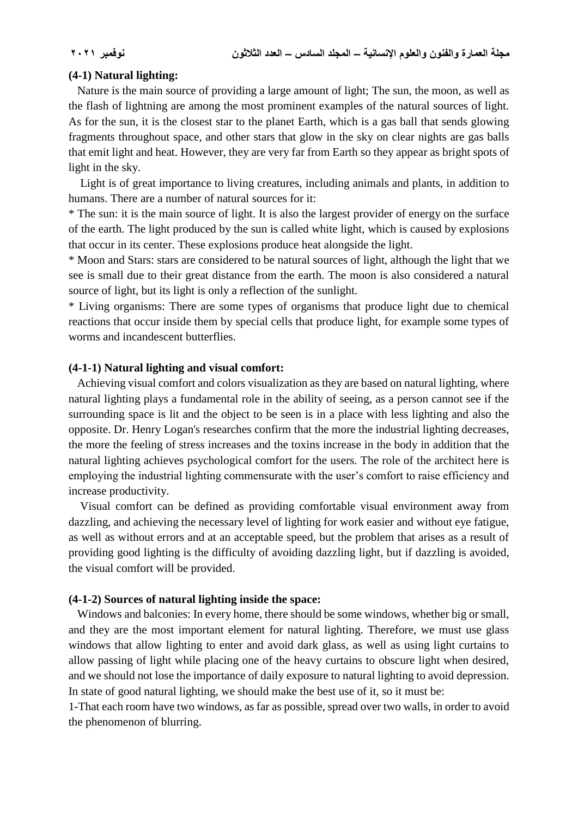### **(4-1) Natural lighting:**

 Nature is the main source of providing a large amount of light; The sun, the moon, as well as the flash of lightning are among the most prominent examples of the natural sources of light. As for the sun, it is the closest star to the planet Earth, which is a gas ball that sends glowing fragments throughout space, and other stars that glow in the sky on clear nights are gas balls that emit light and heat. However, they are very far from Earth so they appear as bright spots of light in the sky.

 Light is of great importance to living creatures, including animals and plants, in addition to humans. There are a number of natural sources for it:

\* The sun: it is the main source of light. It is also the largest provider of energy on the surface of the earth. The light produced by the sun is called white light, which is caused by explosions that occur in its center. These explosions produce heat alongside the light.

\* Moon and Stars: stars are considered to be natural sources of light, although the light that we see is small due to their great distance from the earth. The moon is also considered a natural source of light, but its light is only a reflection of the sunlight.

\* Living organisms: There are some types of organisms that produce light due to chemical reactions that occur inside them by special cells that produce light, for example some types of worms and incandescent butterflies.

### **(4-1-1) Natural lighting and visual comfort:**

 Achieving visual comfort and colors visualization as they are based on natural lighting, where natural lighting plays a fundamental role in the ability of seeing, as a person cannot see if the surrounding space is lit and the object to be seen is in a place with less lighting and also the opposite. Dr. Henry Logan's researches confirm that the more the industrial lighting decreases, the more the feeling of stress increases and the toxins increase in the body in addition that the natural lighting achieves psychological comfort for the users. The role of the architect here is employing the industrial lighting commensurate with the user's comfort to raise efficiency and increase productivity.

 Visual comfort can be defined as providing comfortable visual environment away from dazzling, and achieving the necessary level of lighting for work easier and without eye fatigue, as well as without errors and at an acceptable speed, but the problem that arises as a result of providing good lighting is the difficulty of avoiding dazzling light, but if dazzling is avoided, the visual comfort will be provided.

### **(4-1-2) Sources of natural lighting inside the space:**

 Windows and balconies: In every home, there should be some windows, whether big or small, and they are the most important element for natural lighting. Therefore, we must use glass windows that allow lighting to enter and avoid dark glass, as well as using light curtains to allow passing of light while placing one of the heavy curtains to obscure light when desired, and we should not lose the importance of daily exposure to natural lighting to avoid depression. In state of good natural lighting, we should make the best use of it, so it must be:

1-That each room have two windows, as far as possible, spread over two walls, in order to avoid the phenomenon of blurring.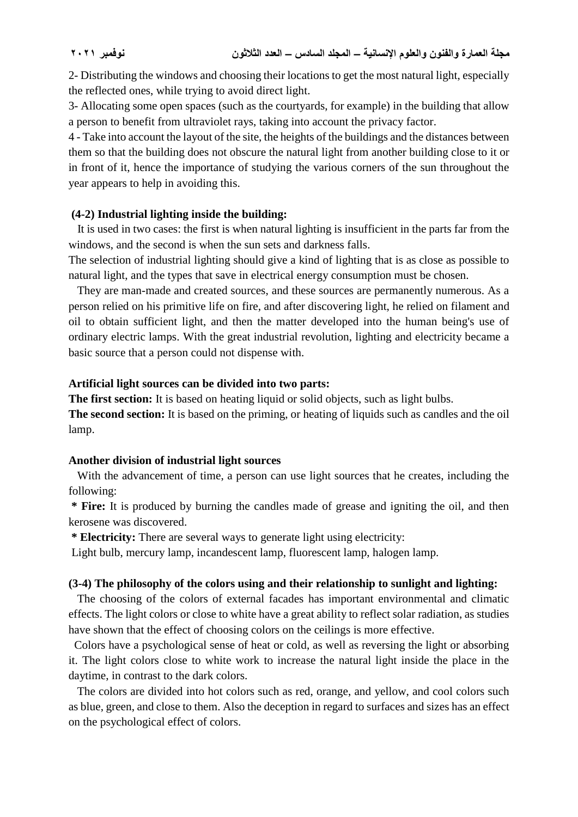2- Distributing the windows and choosing their locations to get the most natural light, especially the reflected ones, while trying to avoid direct light.

3- Allocating some open spaces (such as the courtyards, for example) in the building that allow a person to benefit from ultraviolet rays, taking into account the privacy factor.

4 - Take into account the layout of the site, the heights of the buildings and the distances between them so that the building does not obscure the natural light from another building close to it or in front of it, hence the importance of studying the various corners of the sun throughout the year appears to help in avoiding this.

## **(4-2) Industrial lighting inside the building:**

 It is used in two cases: the first is when natural lighting is insufficient in the parts far from the windows, and the second is when the sun sets and darkness falls.

The selection of industrial lighting should give a kind of lighting that is as close as possible to natural light, and the types that save in electrical energy consumption must be chosen.

 They are man-made and created sources, and these sources are permanently numerous. As a person relied on his primitive life on fire, and after discovering light, he relied on filament and oil to obtain sufficient light, and then the matter developed into the human being's use of ordinary electric lamps. With the great industrial revolution, lighting and electricity became a basic source that a person could not dispense with.

## **Artificial light sources can be divided into two parts:**

**The first section:** It is based on heating liquid or solid objects, such as light bulbs.

**The second section:** It is based on the priming, or heating of liquids such as candles and the oil lamp.

## **Another division of industrial light sources**

 With the advancement of time, a person can use light sources that he creates, including the following:

**\* Fire:** It is produced by burning the candles made of grease and igniting the oil, and then kerosene was discovered.

**\* Electricity:** There are several ways to generate light using electricity:

Light bulb, mercury lamp, incandescent lamp, fluorescent lamp, halogen lamp.

## **(3-4) The philosophy of the colors using and their relationship to sunlight and lighting:**

 The choosing of the colors of external facades has important environmental and climatic effects. The light colors or close to white have a great ability to reflect solar radiation, as studies have shown that the effect of choosing colors on the ceilings is more effective.

 Colors have a psychological sense of heat or cold, as well as reversing the light or absorbing it. The light colors close to white work to increase the natural light inside the place in the daytime, in contrast to the dark colors.

 The colors are divided into hot colors such as red, orange, and yellow, and cool colors such as blue, green, and close to them. Also the deception in regard to surfaces and sizes has an effect on the psychological effect of colors.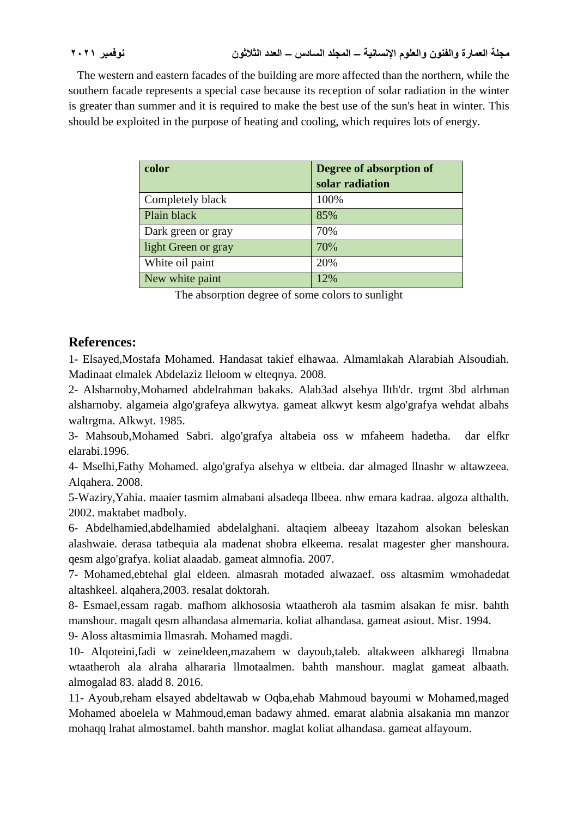The western and eastern facades of the building are more affected than the northern, while the southern facade represents a special case because its reception of solar radiation in the winter is greater than summer and it is required to make the best use of the sun's heat in winter. This should be exploited in the purpose of heating and cooling, which requires lots of energy.

| color               | Degree of absorption of<br>solar radiation |
|---------------------|--------------------------------------------|
|                     |                                            |
| Completely black    | 100%                                       |
| Plain black         | 85%                                        |
| Dark green or gray  | 70%                                        |
| light Green or gray | 70%                                        |
| White oil paint     | 20%                                        |
| New white paint     | 12%                                        |

The absorption degree of some colors to sunlight

# **References:**

1- Elsayed,Mostafa Mohamed. Handasat takief elhawaa. Almamlakah Alarabiah Alsoudiah. Madinaat elmalek Abdelaziz lleloom w elteqnya. 2008.

2- Alsharnoby,Mohamed abdelrahman bakaks. Alab3ad alsehya llth'dr. trgmt 3bd alrhman alsharnoby. algameia algo'grafeya alkwytya. gameat alkwyt kesm algo'grafya wehdat albahs waltrgma. Alkwyt. 1985.

3- Mahsoub,Mohamed Sabri. algo'grafya altabeia oss w mfaheem hadetha. dar elfkr elarabi.1996.

4- Mselhi,Fathy Mohamed. algo'grafya alsehya w eltbeia. dar almaged llnashr w altawzeea. Alqahera. 2008.

5-Waziry,Yahia. maaier tasmim almabani alsadeqa llbeea. nhw emara kadraa. algoza althalth. 2002. maktabet madboly.

6- Abdelhamied,abdelhamied abdelalghani. altaqiem albeeay ltazahom alsokan beleskan alashwaie. derasa tatbequia ala madenat shobra elkeema. resalat magester gher manshoura. qesm algo'grafya. koliat alaadab. gameat almnofia. 2007.

7- Mohamed,ebtehal glal eldeen. almasrah motaded alwazaef. oss altasmim wmohadedat altashkeel. alqahera,2003. resalat doktorah.

8- Esmael,essam ragab. mafhom alkhososia wtaatheroh ala tasmim alsakan fe misr. bahth manshour. magalt qesm alhandasa almemaria. koliat alhandasa. gameat asiout. Misr. 1994.

9- Aloss altasmimia llmasrah. Mohamed magdi.

10- Alqoteini,fadi w zeineldeen,mazahem w dayoub,taleb. altakween alkharegi llmabna wtaatheroh ala alraha alhararia llmotaalmen. bahth manshour. maglat gameat albaath. almogalad 83. aladd 8. 2016.

11- Ayoub,reham elsayed abdeltawab w Oqba,ehab Mahmoud bayoumi w Mohamed,maged Mohamed aboelela w Mahmoud,eman badawy ahmed. emarat alabnia alsakania mn manzor mohaqq lrahat almostamel. bahth manshor. maglat koliat alhandasa. gameat alfayoum.